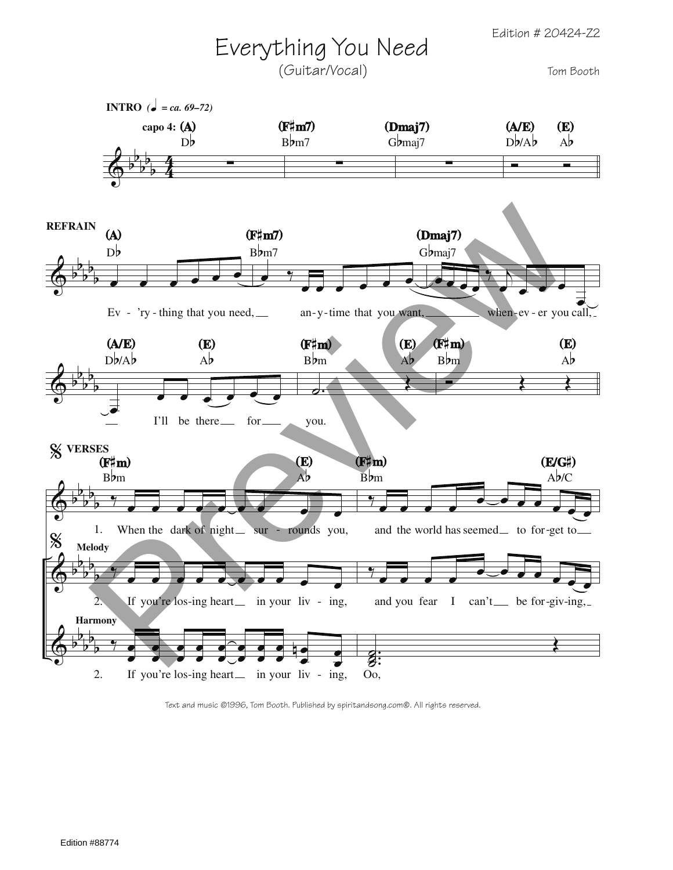Edition # 20424-Z2

## Everything You Need

(Guitar/Vocal)

Tom Booth



Text and music ©1996, Tom Booth. Published by spiritandsong.com®. All rights reserved.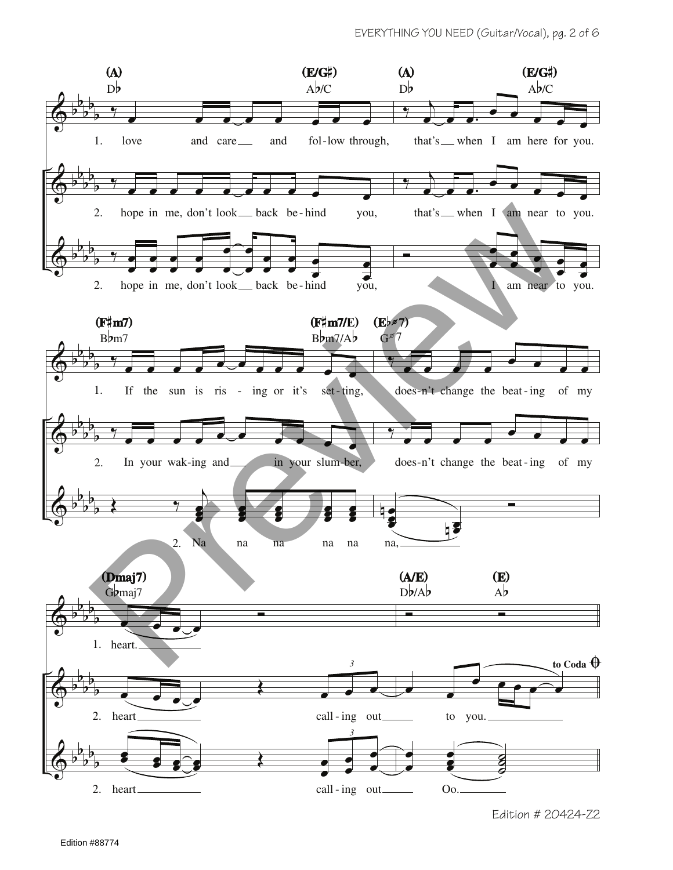

Edition # 20424-Z2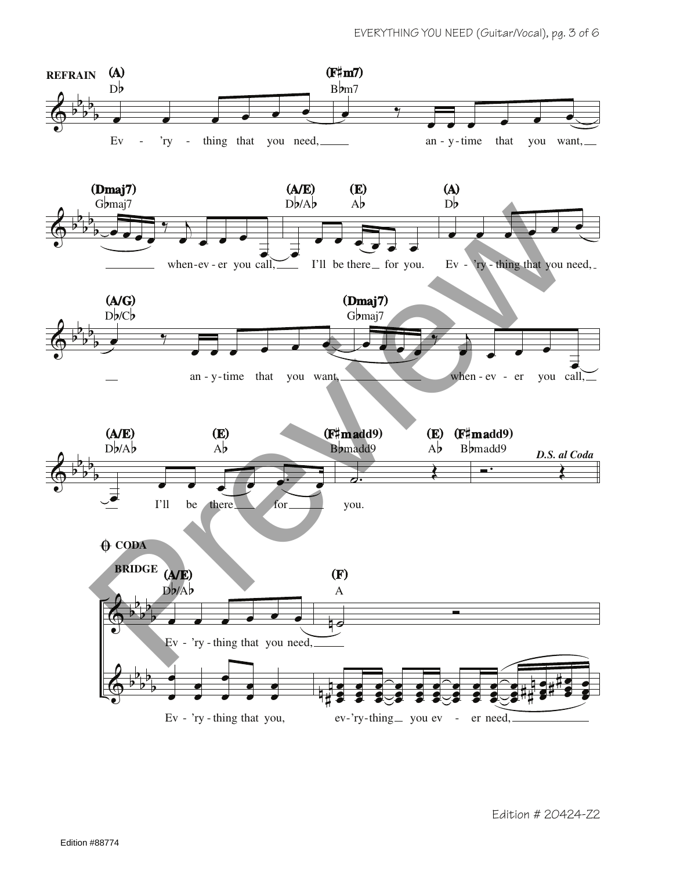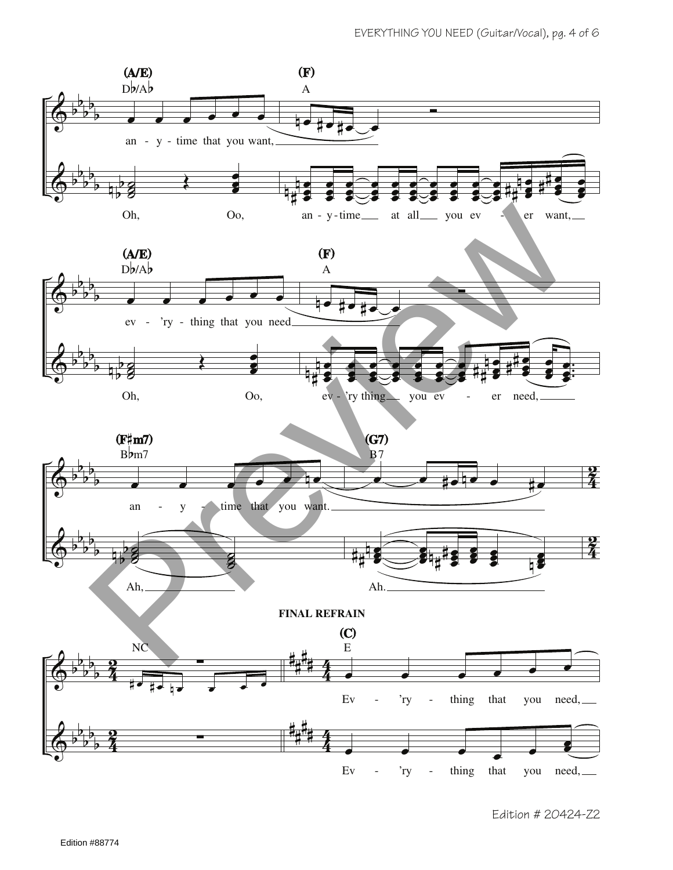

Edition # 20424-Z2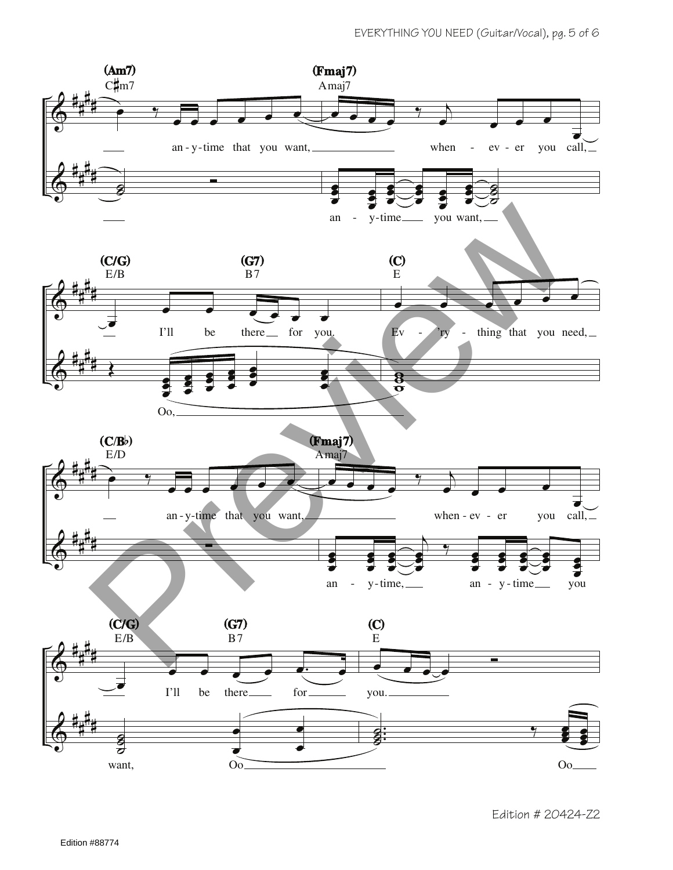